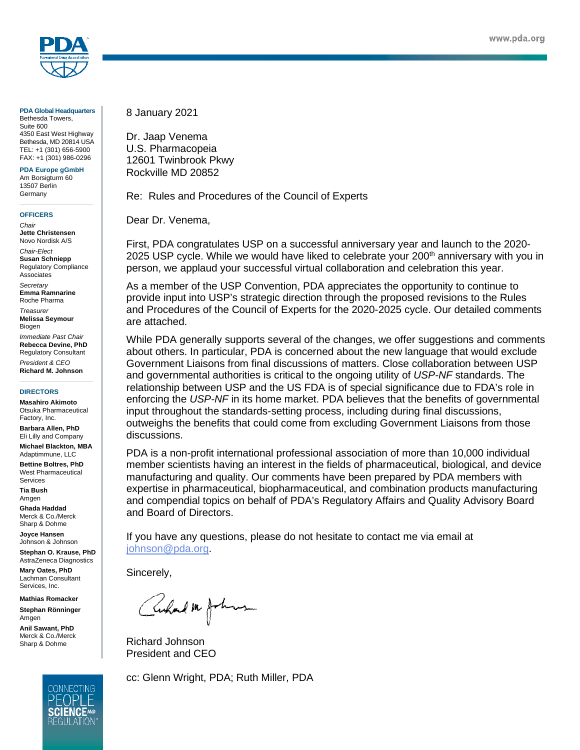

**PDA Global Headquarters** Bethesda Towers, Suite 600 4350 East West Highway Bethesda, MD 20814 USA TEL: +1 (301) 656-5900 FAX: +1 (301) 986-0296

**PDA Europe gGmbH** Am Borsigturm 60 13507 Berlin Germany

#### **OFFICERS**

*Chair* **Jette Christensen** Novo Nordisk A/S *Chair-Elect* **Susan Schniepp** Regulatory Compliance Associates *Secretary*

**Emma Ramnarine** Roche Pharma

*Treasurer* **Melissa Seymour** Biogen

*Immediate Past Chair* **Rebecca Devine, PhD** Regulatory Consultant *President & CEO*

**Richard M. Johnson**

#### **DIRECTORS**

**Masahiro Akimoto** Otsuka Pharmaceutical Factory, Inc.

**Barbara Allen, PhD** Eli Lilly and Company

**Michael Blackton, MBA** Adaptimmune, LLC

**Bettine Boltres, PhD** West Pharmaceutical Services

**Tia Bush** Amgen

**Ghada Haddad** Merck & Co./Merck Sharp & Dohme

**Joyce Hansen** Johnson & Johnson

**Stephan O. Krause, PhD** AstraZeneca Diagnostics

**Mary Oates, PhD** Lachman Consultant Services, Inc.

**Mathias Romacker Stephan Rönninger** 

Amgen **Anil Sawant, PhD**

Merck & Co./Merck Sharp & Dohme



8 January 2021

Dr. Jaap Venema U.S. Pharmacopeia 12601 Twinbrook Pkwy Rockville MD 20852

Re: Rules and Procedures of the Council of Experts

Dear Dr. Venema,

First, PDA congratulates USP on a successful anniversary year and launch to the 2020- 2025 USP cycle. While we would have liked to celebrate your 200<sup>th</sup> anniversary with you in person, we applaud your successful virtual collaboration and celebration this year.

As a member of the USP Convention, PDA appreciates the opportunity to continue to provide input into USP's strategic direction through the proposed revisions to the Rules and Procedures of the Council of Experts for the 2020-2025 cycle. Our detailed comments are attached.

While PDA generally supports several of the changes, we offer suggestions and comments about others. In particular, PDA is concerned about the new language that would exclude Government Liaisons from final discussions of matters. Close collaboration between USP and governmental authorities is critical to the ongoing utility of *USP-NF* standards. The relationship between USP and the US FDA is of special significance due to FDA's role in enforcing the *USP-NF* in its home market. PDA believes that the benefits of governmental input throughout the standards-setting process, including during final discussions, outweighs the benefits that could come from excluding Government Liaisons from those discussions.

PDA is a non-profit international professional association of more than 10,000 individual member scientists having an interest in the fields of pharmaceutical, biological, and device manufacturing and quality. Our comments have been prepared by PDA members with expertise in pharmaceutical, biopharmaceutical, and combination products manufacturing and compendial topics on behalf of PDA's Regulatory Affairs and Quality Advisory Board and Board of Directors.

If you have any questions, please do not hesitate to contact me via email at [johnson@pda.org.](mailto:johnson@pda.org)

Sincerely,

Cuhal m Johns

Richard Johnson President and CEO

cc: Glenn Wright, PDA; Ruth Miller, PDA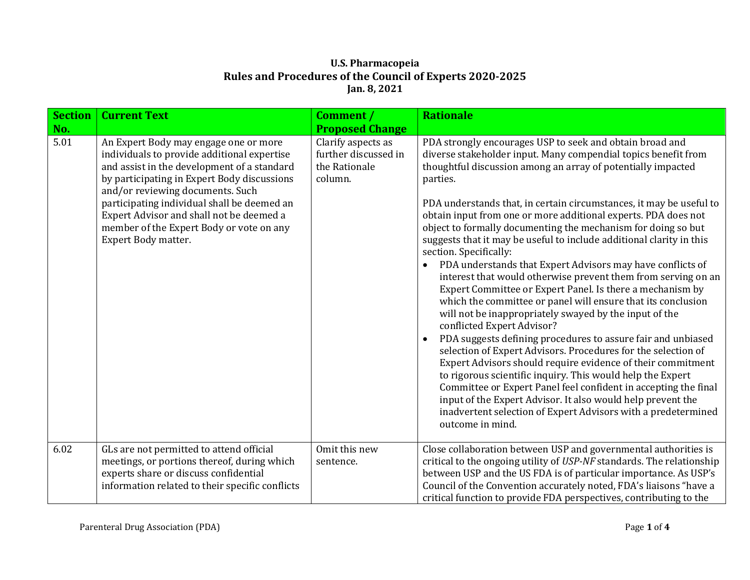| <b>Section</b><br>No. | <b>Current Text</b>                                                                                                                                                                                                                                                                                                                                                                  | Comment /<br><b>Proposed Change</b>                                    | <b>Rationale</b>                                                                                                                                                                                                                                                                                                                                                                                                                                                                                                                                                                                                                                                                                                                                                                                                                                                                                                                                                                                                                                                                                                                                                                                                                                                                                                                                                                      |
|-----------------------|--------------------------------------------------------------------------------------------------------------------------------------------------------------------------------------------------------------------------------------------------------------------------------------------------------------------------------------------------------------------------------------|------------------------------------------------------------------------|---------------------------------------------------------------------------------------------------------------------------------------------------------------------------------------------------------------------------------------------------------------------------------------------------------------------------------------------------------------------------------------------------------------------------------------------------------------------------------------------------------------------------------------------------------------------------------------------------------------------------------------------------------------------------------------------------------------------------------------------------------------------------------------------------------------------------------------------------------------------------------------------------------------------------------------------------------------------------------------------------------------------------------------------------------------------------------------------------------------------------------------------------------------------------------------------------------------------------------------------------------------------------------------------------------------------------------------------------------------------------------------|
| 5.01                  | An Expert Body may engage one or more<br>individuals to provide additional expertise<br>and assist in the development of a standard<br>by participating in Expert Body discussions<br>and/or reviewing documents. Such<br>participating individual shall be deemed an<br>Expert Advisor and shall not be deemed a<br>member of the Expert Body or vote on any<br>Expert Body matter. | Clarify aspects as<br>further discussed in<br>the Rationale<br>column. | PDA strongly encourages USP to seek and obtain broad and<br>diverse stakeholder input. Many compendial topics benefit from<br>thoughtful discussion among an array of potentially impacted<br>parties.<br>PDA understands that, in certain circumstances, it may be useful to<br>obtain input from one or more additional experts. PDA does not<br>object to formally documenting the mechanism for doing so but<br>suggests that it may be useful to include additional clarity in this<br>section. Specifically:<br>PDA understands that Expert Advisors may have conflicts of<br>$\bullet$<br>interest that would otherwise prevent them from serving on an<br>Expert Committee or Expert Panel. Is there a mechanism by<br>which the committee or panel will ensure that its conclusion<br>will not be inappropriately swayed by the input of the<br>conflicted Expert Advisor?<br>PDA suggests defining procedures to assure fair and unbiased<br>$\bullet$<br>selection of Expert Advisors. Procedures for the selection of<br>Expert Advisors should require evidence of their commitment<br>to rigorous scientific inquiry. This would help the Expert<br>Committee or Expert Panel feel confident in accepting the final<br>input of the Expert Advisor. It also would help prevent the<br>inadvertent selection of Expert Advisors with a predetermined<br>outcome in mind. |
| 6.02                  | GLs are not permitted to attend official<br>meetings, or portions thereof, during which<br>experts share or discuss confidential<br>information related to their specific conflicts                                                                                                                                                                                                  | Omit this new<br>sentence.                                             | Close collaboration between USP and governmental authorities is<br>critical to the ongoing utility of USP-NF standards. The relationship<br>between USP and the US FDA is of particular importance. As USP's<br>Council of the Convention accurately noted, FDA's liaisons "have a<br>critical function to provide FDA perspectives, contributing to the                                                                                                                                                                                                                                                                                                                                                                                                                                                                                                                                                                                                                                                                                                                                                                                                                                                                                                                                                                                                                              |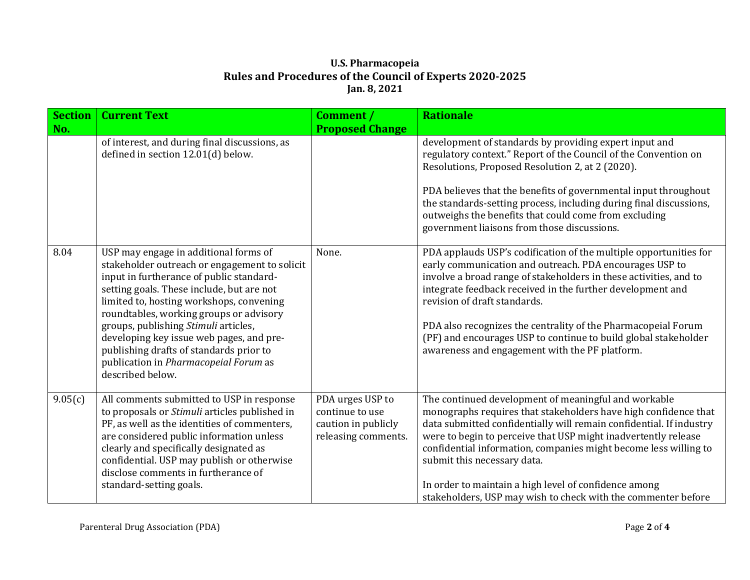| <b>Section</b><br>No. | <b>Current Text</b>                                                                                                                                                                                                                                                                                                                                                                                                                                                | <b>Comment</b> /<br><b>Proposed Change</b>                                        | <b>Rationale</b>                                                                                                                                                                                                                                                                                                                                                                                                                                                                              |
|-----------------------|--------------------------------------------------------------------------------------------------------------------------------------------------------------------------------------------------------------------------------------------------------------------------------------------------------------------------------------------------------------------------------------------------------------------------------------------------------------------|-----------------------------------------------------------------------------------|-----------------------------------------------------------------------------------------------------------------------------------------------------------------------------------------------------------------------------------------------------------------------------------------------------------------------------------------------------------------------------------------------------------------------------------------------------------------------------------------------|
|                       | of interest, and during final discussions, as<br>defined in section 12.01(d) below.                                                                                                                                                                                                                                                                                                                                                                                |                                                                                   | development of standards by providing expert input and<br>regulatory context." Report of the Council of the Convention on<br>Resolutions, Proposed Resolution 2, at 2 (2020).<br>PDA believes that the benefits of governmental input throughout<br>the standards-setting process, including during final discussions,<br>outweighs the benefits that could come from excluding<br>government liaisons from those discussions.                                                                |
| 8.04                  | USP may engage in additional forms of<br>stakeholder outreach or engagement to solicit<br>input in furtherance of public standard-<br>setting goals. These include, but are not<br>limited to, hosting workshops, convening<br>roundtables, working groups or advisory<br>groups, publishing Stimuli articles,<br>developing key issue web pages, and pre-<br>publishing drafts of standards prior to<br>publication in Pharmacopeial Forum as<br>described below. | None.                                                                             | PDA applauds USP's codification of the multiple opportunities for<br>early communication and outreach. PDA encourages USP to<br>involve a broad range of stakeholders in these activities, and to<br>integrate feedback received in the further development and<br>revision of draft standards.<br>PDA also recognizes the centrality of the Pharmacopeial Forum<br>(PF) and encourages USP to continue to build global stakeholder<br>awareness and engagement with the PF platform.         |
| 9.05(c)               | All comments submitted to USP in response<br>to proposals or Stimuli articles published in<br>PF, as well as the identities of commenters,<br>are considered public information unless<br>clearly and specifically designated as<br>confidential. USP may publish or otherwise<br>disclose comments in furtherance of<br>standard-setting goals.                                                                                                                   | PDA urges USP to<br>continue to use<br>caution in publicly<br>releasing comments. | The continued development of meaningful and workable<br>monographs requires that stakeholders have high confidence that<br>data submitted confidentially will remain confidential. If industry<br>were to begin to perceive that USP might inadvertently release<br>confidential information, companies might become less willing to<br>submit this necessary data.<br>In order to maintain a high level of confidence among<br>stakeholders, USP may wish to check with the commenter before |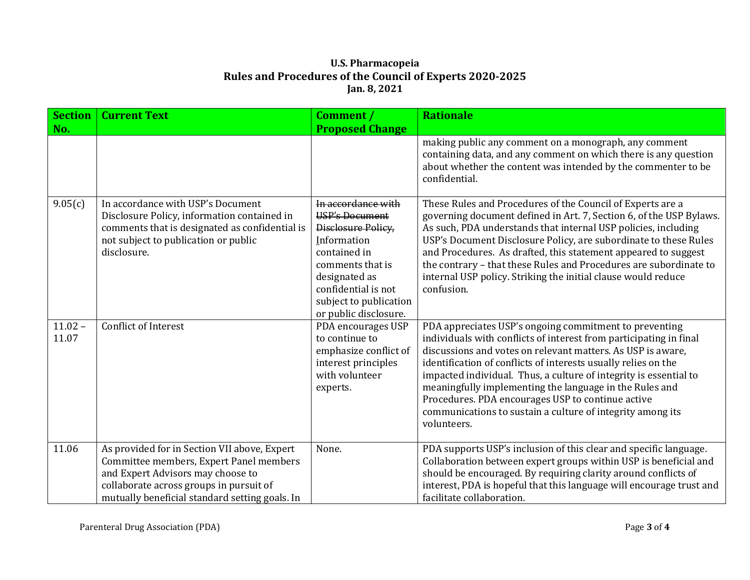| <b>Section</b><br>No. | <b>Current Text</b>                                                                                                                                                                                                       | <b>Comment</b> /<br><b>Proposed Change</b>                                                                                                                                                                      | <b>Rationale</b>                                                                                                                                                                                                                                                                                                                                                                                                                                                                                                                |
|-----------------------|---------------------------------------------------------------------------------------------------------------------------------------------------------------------------------------------------------------------------|-----------------------------------------------------------------------------------------------------------------------------------------------------------------------------------------------------------------|---------------------------------------------------------------------------------------------------------------------------------------------------------------------------------------------------------------------------------------------------------------------------------------------------------------------------------------------------------------------------------------------------------------------------------------------------------------------------------------------------------------------------------|
|                       |                                                                                                                                                                                                                           |                                                                                                                                                                                                                 | making public any comment on a monograph, any comment<br>containing data, and any comment on which there is any question<br>about whether the content was intended by the commenter to be<br>confidential.                                                                                                                                                                                                                                                                                                                      |
| 9.05(c)               | In accordance with USP's Document<br>Disclosure Policy, information contained in<br>comments that is designated as confidential is<br>not subject to publication or public<br>disclosure.                                 | In accordance with<br><b>USP's Document</b><br>Disclosure Policy,<br>Information<br>contained in<br>comments that is<br>designated as<br>confidential is not<br>subject to publication<br>or public disclosure. | These Rules and Procedures of the Council of Experts are a<br>governing document defined in Art. 7, Section 6, of the USP Bylaws.<br>As such, PDA understands that internal USP policies, including<br>USP's Document Disclosure Policy, are subordinate to these Rules<br>and Procedures. As drafted, this statement appeared to suggest<br>the contrary - that these Rules and Procedures are subordinate to<br>internal USP policy. Striking the initial clause would reduce<br>confusion.                                   |
| $11.02 -$<br>11.07    | <b>Conflict of Interest</b>                                                                                                                                                                                               | PDA encourages USP<br>to continue to<br>emphasize conflict of<br>interest principles<br>with volunteer<br>experts.                                                                                              | PDA appreciates USP's ongoing commitment to preventing<br>individuals with conflicts of interest from participating in final<br>discussions and votes on relevant matters. As USP is aware,<br>identification of conflicts of interests usually relies on the<br>impacted individual. Thus, a culture of integrity is essential to<br>meaningfully implementing the language in the Rules and<br>Procedures. PDA encourages USP to continue active<br>communications to sustain a culture of integrity among its<br>volunteers. |
| 11.06                 | As provided for in Section VII above, Expert<br>Committee members, Expert Panel members<br>and Expert Advisors may choose to<br>collaborate across groups in pursuit of<br>mutually beneficial standard setting goals. In | None.                                                                                                                                                                                                           | PDA supports USP's inclusion of this clear and specific language.<br>Collaboration between expert groups within USP is beneficial and<br>should be encouraged. By requiring clarity around conflicts of<br>interest, PDA is hopeful that this language will encourage trust and<br>facilitate collaboration.                                                                                                                                                                                                                    |